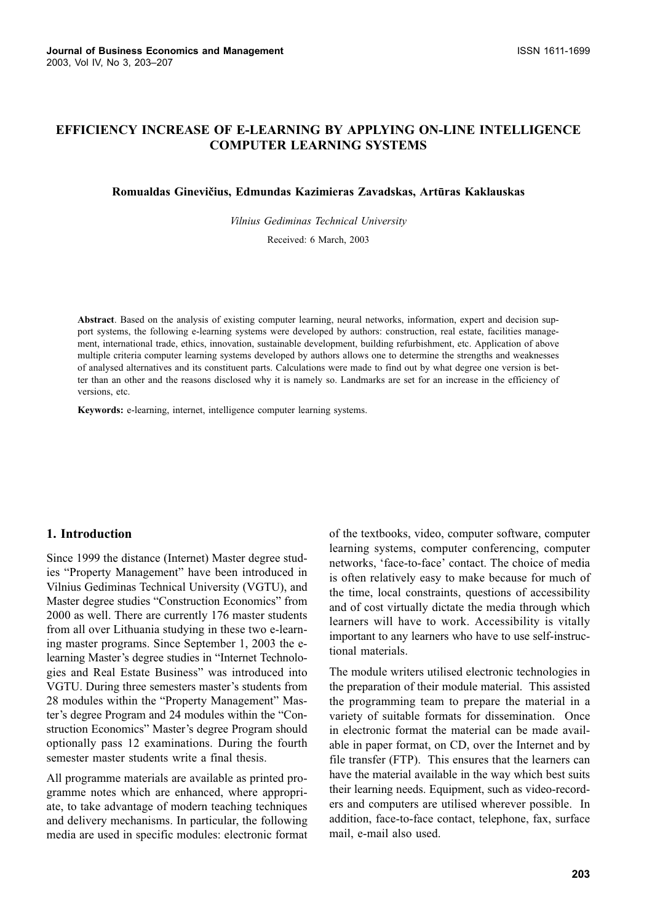# **EFFICIENCY INCREASE OF E-LEARNING BY APPLYING ON-LINE INTELLIGENCE COMPUTER LEARNING SYSTEMS**

#### Romualdas Ginevičius, Edmundas Kazimieras Zavadskas, Artūras Kaklauskas

Vilnius Gediminas Technical University

Received: 6 March, 2003

Abstract. Based on the analysis of existing computer learning, neural networks, information, expert and decision support systems, the following e-learning systems were developed by authors: construction, real estate, facilities management, international trade, ethics, innovation, sustainable development, building refurbishment, etc. Application of above multiple criteria computer learning systems developed by authors allows one to determine the strengths and weaknesses of analysed alternatives and its constituent parts. Calculations were made to find out by what degree one version is better than an other and the reasons disclosed why it is namely so. Landmarks are set for an increase in the efficiency of versions, etc.

Keywords: e-learning, internet, intelligence computer learning systems.

#### 1. Introduction

Since 1999 the distance (Internet) Master degree studies "Property Management" have been introduced in Vilnius Gediminas Technical University (VGTU), and Master degree studies "Construction Economics" from 2000 as well. There are currently 176 master students from all over Lithuania studying in these two e-learning master programs. Since September 1, 2003 the elearning Master's degree studies in "Internet Technologies and Real Estate Business" was introduced into VGTU. During three semesters master's students from 28 modules within the "Property Management" Master's degree Program and 24 modules within the "Construction Economics" Master's degree Program should optionally pass 12 examinations. During the fourth semester master students write a final thesis.

All programme materials are available as printed programme notes which are enhanced, where appropriate, to take advantage of modern teaching techniques and delivery mechanisms. In particular, the following media are used in specific modules: electronic format of the textbooks, video, computer software, computer learning systems, computer conferencing, computer networks, 'face-to-face' contact. The choice of media is often relatively easy to make because for much of the time, local constraints, questions of accessibility and of cost virtually dictate the media through which learners will have to work. Accessibility is vitally important to any learners who have to use self-instructional materials.

The module writers utilised electronic technologies in the preparation of their module material. This assisted the programming team to prepare the material in a variety of suitable formats for dissemination. Once in electronic format the material can be made available in paper format, on CD, over the Internet and by file transfer (FTP). This ensures that the learners can have the material available in the way which best suits their learning needs. Equipment, such as video-recorders and computers are utilised wherever possible. In addition, face-to-face contact, telephone, fax, surface mail, e-mail also used.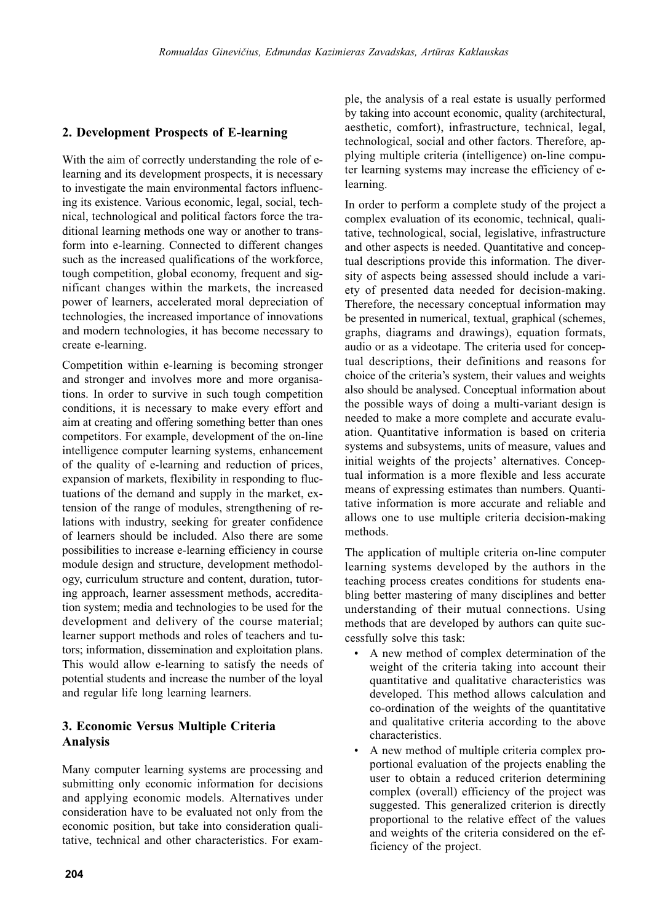#### 2. Development Prospects of E-learning

With the aim of correctly understanding the role of elearning and its development prospects, it is necessary to investigate the main environmental factors influencing its existence. Various economic, legal, social, technical, technological and political factors force the traditional learning methods one way or another to transform into e-learning. Connected to different changes such as the increased qualifications of the workforce, tough competition, global economy, frequent and significant changes within the markets, the increased power of learners, accelerated moral depreciation of technologies, the increased importance of innovations and modern technologies, it has become necessary to create e-learning.

Competition within e-learning is becoming stronger and stronger and involves more and more organisations. In order to survive in such tough competition conditions, it is necessary to make every effort and aim at creating and offering something better than ones competitors. For example, development of the on-line intelligence computer learning systems, enhancement of the quality of e-learning and reduction of prices, expansion of markets, flexibility in responding to fluctuations of the demand and supply in the market, extension of the range of modules, strengthening of relations with industry, seeking for greater confidence of learners should be included. Also there are some possibilities to increase e-learning efficiency in course module design and structure, development methodology, curriculum structure and content, duration, tutoring approach, learner assessment methods, accreditation system; media and technologies to be used for the development and delivery of the course material; learner support methods and roles of teachers and tutors; information, dissemination and exploitation plans. This would allow e-learning to satisfy the needs of potential students and increase the number of the loyal and regular life long learning learners.

## 3. Economic Versus Multiple Criteria **Analysis**

Many computer learning systems are processing and submitting only economic information for decisions and applying economic models. Alternatives under consideration have to be evaluated not only from the economic position, but take into consideration qualitative, technical and other characteristics. For example, the analysis of a real estate is usually performed by taking into account economic, quality (architectural, aesthetic, comfort), infrastructure, technical, legal, technological, social and other factors. Therefore, applying multiple criteria (intelligence) on-line computer learning systems may increase the efficiency of elearning.

In order to perform a complete study of the project a complex evaluation of its economic, technical, qualitative, technological, social, legislative, infrastructure and other aspects is needed. Quantitative and conceptual descriptions provide this information. The diversity of aspects being assessed should include a variety of presented data needed for decision-making. Therefore, the necessary conceptual information may be presented in numerical, textual, graphical (schemes, graphs, diagrams and drawings), equation formats, audio or as a videotape. The criteria used for conceptual descriptions, their definitions and reasons for choice of the criteria's system, their values and weights also should be analysed. Conceptual information about the possible ways of doing a multi-variant design is needed to make a more complete and accurate evaluation. Quantitative information is based on criteria systems and subsystems, units of measure, values and initial weights of the projects' alternatives. Conceptual information is a more flexible and less accurate means of expressing estimates than numbers. Quantitative information is more accurate and reliable and allows one to use multiple criteria decision-making methods.

The application of multiple criteria on-line computer learning systems developed by the authors in the teaching process creates conditions for students enabling better mastering of many disciplines and better understanding of their mutual connections. Using methods that are developed by authors can quite successfully solve this task:

- A new method of complex determination of the weight of the criteria taking into account their quantitative and qualitative characteristics was developed. This method allows calculation and co-ordination of the weights of the quantitative and qualitative criteria according to the above characteristics.
- A new method of multiple criteria complex proportional evaluation of the projects enabling the user to obtain a reduced criterion determining complex (overall) efficiency of the project was suggested. This generalized criterion is directly proportional to the relative effect of the values and weights of the criteria considered on the efficiency of the project.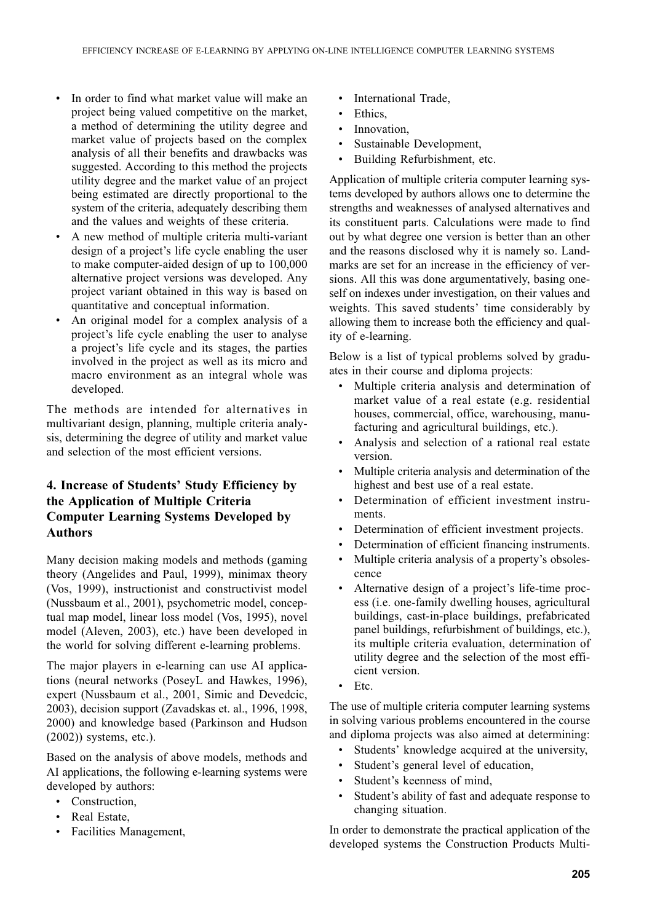- In order to find what market value will make an project being valued competitive on the market, a method of determining the utility degree and market value of projects based on the complex analysis of all their benefits and drawbacks was suggested. According to this method the projects utility degree and the market value of an project being estimated are directly proportional to the system of the criteria, adequately describing them and the values and weights of these criteria.
- A new method of multiple criteria multi-variant design of a project's life cycle enabling the user to make computer-aided design of up to 100,000 alternative project versions was developed. Any project variant obtained in this way is based on quantitative and conceptual information.
- $\bullet$ An original model for a complex analysis of a project's life cycle enabling the user to analyse a project's life cycle and its stages, the parties involved in the project as well as its micro and macro environment as an integral whole was developed.

The methods are intended for alternatives in multivariant design, planning, multiple criteria analysis, determining the degree of utility and market value and selection of the most efficient versions.

# 4. Increase of Students' Study Efficiency by the Application of Multiple Criteria **Computer Learning Systems Developed by Authors**

Many decision making models and methods (gaming theory (Angelides and Paul, 1999), minimax theory (Vos, 1999), instructionist and constructivist model (Nussbaum et al., 2001), psychometric model, conceptual map model, linear loss model (Vos, 1995), novel model (Aleven, 2003), etc.) have been developed in the world for solving different e-learning problems.

The major players in e-learning can use AI applications (neural networks (PoseyL and Hawkes, 1996), expert (Nussbaum et al., 2001, Simic and Devedcic, 2003), decision support (Zavadskas et. al., 1996, 1998, 2000) and knowledge based (Parkinson and Hudson  $(2002)$ ) systems, etc.).

Based on the analysis of above models, methods and AI applications, the following e-learning systems were developed by authors:

- Construction,
- Real Estate,
- Facilities Management,
- International Trade,
- Ethics,
- $\bullet$ Innovation.
- Sustainable Development.  $\bullet$
- Building Refurbishment, etc.

Application of multiple criteria computer learning systems developed by authors allows one to determine the strengths and weaknesses of analysed alternatives and its constituent parts. Calculations were made to find out by what degree one version is better than an other and the reasons disclosed why it is namely so. Landmarks are set for an increase in the efficiency of versions. All this was done argumentatively, basing oneself on indexes under investigation, on their values and weights. This saved students' time considerably by allowing them to increase both the efficiency and quality of e-learning.

Below is a list of typical problems solved by graduates in their course and diploma projects:

- $\bullet$ Multiple criteria analysis and determination of market value of a real estate (e.g. residential houses, commercial, office, warehousing, manufacturing and agricultural buildings, etc.).
- Analysis and selection of a rational real estate version.
- Multiple criteria analysis and determination of the highest and best use of a real estate.
- Determination of efficient investment instruments
- Determination of efficient investment projects.
- Determination of efficient financing instruments.
- $\bullet$ Multiple criteria analysis of a property's obsolescence
- Alternative design of a project's life-time process (*i.e.* one-family dwelling houses, agricultural buildings, cast-in-place buildings, prefabricated panel buildings, refurbishment of buildings, etc.), its multiple criteria evaluation, determination of utility degree and the selection of the most efficient version.
- $\bullet$ Etc.

The use of multiple criteria computer learning systems in solving various problems encountered in the course and diploma projects was also aimed at determining:

- Students' knowledge acquired at the university.
- Student's general level of education,  $\bullet$
- $\bullet$ Student's keenness of mind.
- Student's ability of fast and adequate response to changing situation.

In order to demonstrate the practical application of the developed systems the Construction Products Multi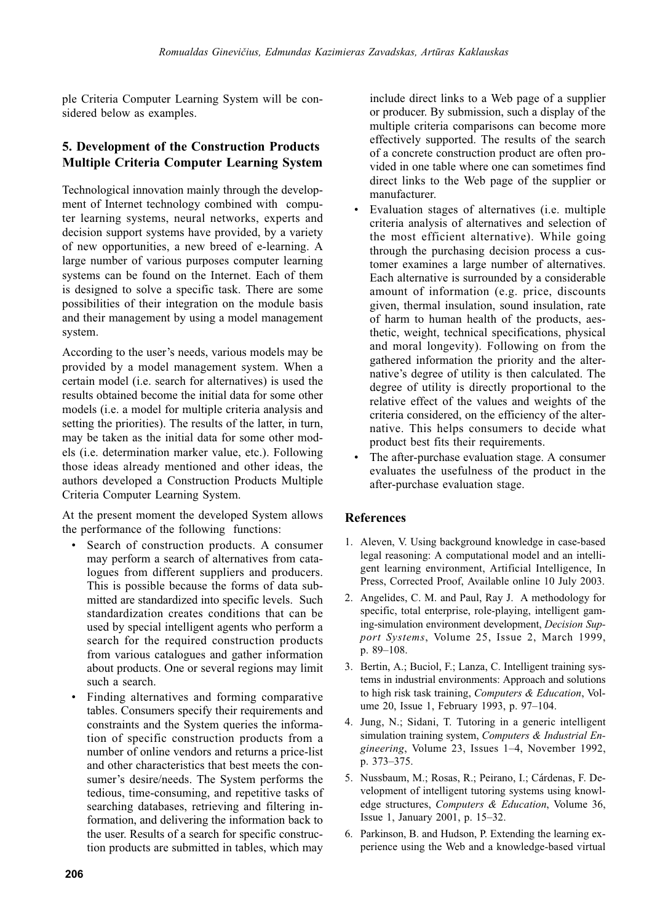ple Criteria Computer Learning System will be considered below as examples.

### **5. Development of the Construction Products Multiple Criteria Computer Learning System**

Technological innovation mainly through the development of Internet technology combined with computer learning systems, neural networks, experts and decision support systems have provided, by a variety of new opportunities, a new breed of e-learning. A large number of various purposes computer learning systems can be found on the Internet. Each of them is designed to solve a specific task. There are some possibilities of their integration on the module basis and their management by using a model management system.

According to the user's needs, various models may be provided by a model management system. When a certain model (*i.e.* search for alternatives) is used the results obtained become the initial data for some other models (i.e. a model for multiple criteria analysis and setting the priorities). The results of the latter, in turn, may be taken as the initial data for some other models (i.e. determination marker value, etc.). Following those ideas already mentioned and other ideas, the authors developed a Construction Products Multiple Criteria Computer Learning System.

At the present moment the developed System allows the performance of the following functions:

- Search of construction products. A consumer may perform a search of alternatives from catalogues from different suppliers and producers. This is possible because the forms of data submitted are standardized into specific levels. Such standardization creates conditions that can be used by special intelligent agents who perform a search for the required construction products from various catalogues and gather information about products. One or several regions may limit such a search.
- Finding alternatives and forming comparative tables. Consumers specify their requirements and constraints and the System queries the information of specific construction products from a number of online vendors and returns a price-list and other characteristics that best meets the consumer's desire/needs. The System performs the tedious, time-consuming, and repetitive tasks of searching databases, retrieving and filtering information, and delivering the information back to the user. Results of a search for specific construction products are submitted in tables, which may

include direct links to a Web page of a supplier or producer. By submission, such a display of the multiple criteria comparisons can become more effectively supported. The results of the search of a concrete construction product are often provided in one table where one can sometimes find direct links to the Web page of the supplier or manufacturer.

- Evaluation stages of alternatives (i.e. multiple criteria analysis of alternatives and selection of the most efficient alternative). While going through the purchasing decision process a customer examines a large number of alternatives. Each alternative is surrounded by a considerable amount of information (e.g. price, discounts given, thermal insulation, sound insulation, rate of harm to human health of the products, aesthetic, weight, technical specifications, physical and moral longevity). Following on from the gathered information the priority and the alternative's degree of utility is then calculated. The degree of utility is directly proportional to the relative effect of the values and weights of the criteria considered, on the efficiency of the alternative. This helps consumers to decide what product best fits their requirements.
- The after-purchase evaluation stage. A consumer evaluates the usefulness of the product in the after-purchase evaluation stage.

#### **References**

- 1. Aleven, V. Using background knowledge in case-based legal reasoning: A computational model and an intelligent learning environment, Artificial Intelligence, In Press, Corrected Proof, Available online 10 July 2003.
- 2. Angelides, C. M. and Paul, Ray J. A methodology for specific, total enterprise, role-playing, intelligent gaming-simulation environment development, Decision Support Systems, Volume 25, Issue 2, March 1999, p. 89-108.
- 3. Bertin, A.; Buciol, F.; Lanza, C. Intelligent training systems in industrial environments: Approach and solutions to high risk task training, Computers & Education, Volume 20, Issue 1, February 1993, p. 97-104.
- 4. Jung, N.; Sidani, T. Tutoring in a generic intelligent simulation training system, Computers & Industrial Engineering, Volume 23, Issues 1–4, November 1992, p. 373-375.
- 5. Nussbaum, M.; Rosas, R.; Peirano, I.; Cárdenas, F. Development of intelligent tutoring systems using knowledge structures, *Computers* & *Education*, Volume 36, Issue 1, January 2001, p. 15–32.
- 6. Parkinson, B. and Hudson, P. Extending the learning experience using the Web and a knowledge-based virtual